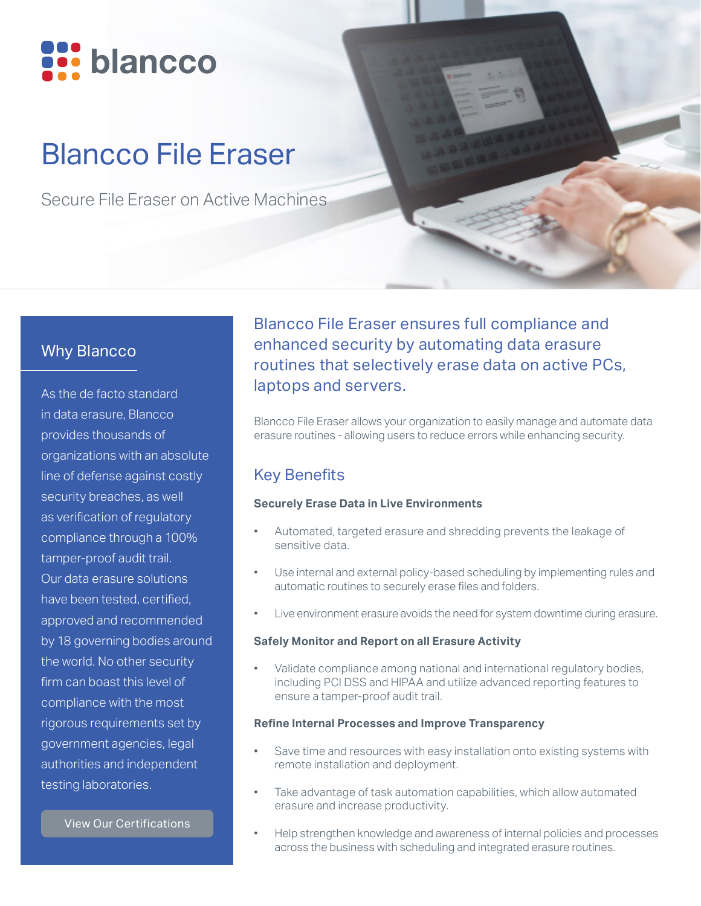

# Blancco File Eraser

Secure File Eraser on Active Machines

## Why Blancco

As the de facto standard in data erasure, Blancco provides thousands of organizations with an absolute line of defense against costly security breaches, as well as verification of regulatory compliance through a 100% tamper-proof audit trail. Our data erasure solutions have been tested, certified, approved and recommended by 18 governing bodies around the world. No other security firm can boast this level of compliance with the most rigorous requirements set by government agencies, legal authorities and independent testing laboratories.

[View Our Certifications](https://www.blancco.com/wp-content/uploads/2016/06/certifications_fact_sheet_eng.pdf)

Blancco File Eraser ensures full compliance and enhanced security by automating data erasure routines that selectively erase data on active PCs, laptops and servers.

Blancco File Eraser allows your organization to easily manage and automate data erasure routines - allowing users to reduce errors while enhancing security.

## Key Benefits

#### **Securely Erase Data in Live Environments**

- Automated, targeted erasure and shredding prevents the leakage of sensitive data.
- Use internal and external policy-based scheduling by implementing rules and automatic routines to securely erase files and folders.
- Live environment erasure avoids the need for system downtime during erasure.

#### **Safely Monitor and Report on all Erasure Activity**

• Validate compliance among national and international regulatory bodies, including PCI DSS and HIPAA and utilize advanced reporting features to ensure a tamper-proof audit trail.

#### **Refine Internal Processes and Improve Transparency**

- Save time and resources with easy installation onto existing systems with remote installation and deployment.
- Take advantage of task automation capabilities, which allow automated erasure and increase productivity.
- Help strengthen knowledge and awareness of internal policies and processes across the business with scheduling and integrated erasure routines.